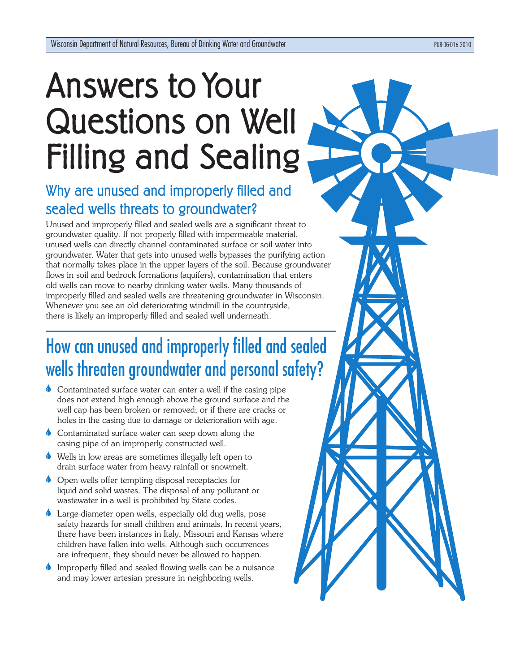# Answers to Your Questions on Well Filling and Sealing

### Why are unused and improperly filled and sealed wells threats to groundwater?

Unused and improperly filled and sealed wells are a significant threat to groundwater quality. If not properly filled with impermeable material, unused wells can directly channel contaminated surface or soil water into groundwater. Water that gets into unused wells bypasses the purifying action that normally takes place in the upper layers of the soil. Because groundwater flows in soil and bedrock formations (aquifers), contamination that enters old wells can move to nearby drinking water wells. Many thousands of improperly filled and sealed wells are threatening groundwater in Wisconsin. Whenever you see an old deteriorating windmill in the countryside, there is likely an improperly filled and sealed well underneath.

### How can unused and improperly filled and sealed wells threaten groundwater and personal safety?

- Contaminated surface water can enter a well if the casing pipe does not extend high enough above the ground surface and the well cap has been broken or removed; or if there are cracks or holes in the casing due to damage or deterioration with age.
- Contaminated surface water can seep down along the casing pipe of an improperly constructed well.
- Wells in low areas are sometimes illegally left open to drain surface water from heavy rainfall or snowmelt.
- Open wells offer tempting disposal receptacles for liquid and solid wastes. The disposal of any pollutant or wastewater in a well is prohibited by State codes.
- Large-diameter open wells, especially old dug wells, pose safety hazards for small children and animals. In recent years, there have been instances in Italy, Missouri and Kansas where children have fallen into wells. Although such occurrences are infrequent, they should never be allowed to happen.
- Improperly filled and sealed flowing wells can be a nuisance  $\bullet$ and may lower artesian pressure in neighboring wells.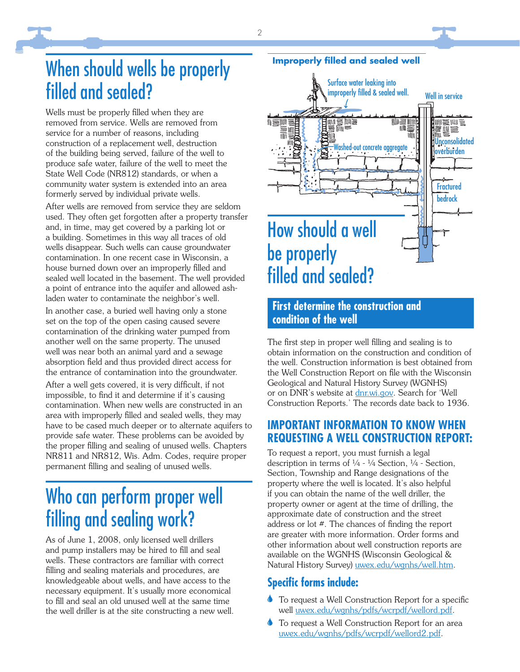### When should wells be properly filled and sealed?

Wells must be properly filled when they are removed from service. Wells are removed from service for a number of reasons, including construction of a replacement well, destruction of the building being served, failure of the well to produce safe water, failure of the well to meet the State Well Code (NR812) standards, or when a community water system is extended into an area formerly served by individual private wells.

After wells are removed from service they are seldom used. They often get forgotten after a property transfer and, in time, may get covered by a parking lot or a building. Sometimes in this way all traces of old wells disappear. Such wells can cause groundwater contamination. In one recent case in Wisconsin, a house burned down over an improperly filled and sealed well located in the basement. The well provided a point of entrance into the aquifer and allowed ashladen water to contaminate the neighbor's well.

In another case, a buried well having only a stone set on the top of the open casing caused severe contamination of the drinking water pumped from another well on the same property. The unused well was near both an animal yard and a sewage absorption field and thus provided direct access for the entrance of contamination into the groundwater.

After a well gets covered, it is very difficult, if not impossible, to find it and determine if it's causing contamination. When new wells are constructed in an area with improperly filled and sealed wells, they may have to be cased much deeper or to alternate aquifers to provide safe water. These problems can be avoided by the proper filling and sealing of unused wells. Chapters NR811 and NR812, Wis. Adm. Codes, require proper permanent filling and sealing of unused wells.

### Who can perform proper well filling and sealing work?

As of June 1, 2008, only licensed well drillers and pump installers may be hired to fill and seal wells. These contractors are familiar with correct filling and sealing materials and procedures, are knowledgeable about wells, and have access to the necessary equipment. It's usually more economical to fill and seal an old unused well at the same time the well driller is at the site constructing a new well.



**Improperly filled and sealed well** 

#### **First determine the construction and condition of the well**

The first step in proper well filling and sealing is to obtain information on the construction and condition of the well. Construction information is best obtained from the Well Construction Report on file with the Wisconsin Geological and Natural History Survey (WGNHS) or on DNR's website at dnr.wi.gov. Search for 'Well Construction Reports.' The records date back to 1936.

#### **IMPORTANT INFORMATION TO KNOW WHEN REQUESTING A WELL CONSTRUCTION REPORT:**

To request a report, you must furnish a legal description in terms of  $\frac{1}{4}$  -  $\frac{1}{4}$  Section,  $\frac{1}{4}$  - Section, Section, Township and Range designations of the property where the well is located. It's also helpful if you can obtain the name of the well driller, the property owner or agent at the time of drilling, the approximate date of construction and the street address or lot  $#$ . The chances of finding the report are greater with more information. Order forms and other information about well construction reports are available on the WGNHS (Wisconsin Geological & Natural History Survey) uwex.edu/wgnhs/well.htm.

#### **Specific forms include:**

- To request a Well Construction Report for a specific  $\bullet$ well uwex.edu/wgnhs/pdfs/wcrpdf/wellord.pdf.
- **To request a Well Construction Report for an area** uwex.edu/wgnhs/pdfs/wcrpdf/wellord2.pdf.

2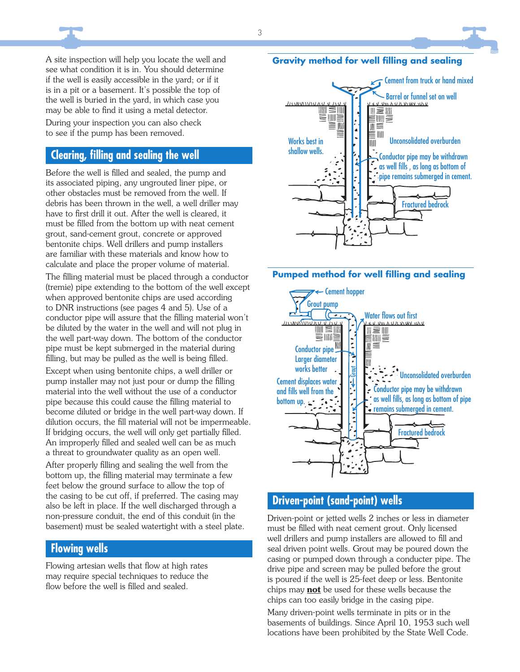A site inspection will help you locate the well and see what condition it is in. You should determine if the well is easily accessible in the yard; or if it is in a pit or a basement. It's possible the top of the well is buried in the yard, in which case you may be able to find it using a metal detector.

During your inspection you can also check to see if the pump has been removed.

#### **Clearing, fi lling and sealing the well**

Before the well is filled and sealed, the pump and its associated piping, any ungrouted liner pipe, or other obstacles must be removed from the well. If debris has been thrown in the well, a well driller may have to first drill it out. After the well is cleared, it must be filled from the bottom up with neat cement grout, sand-cement grout, concrete or approved bentonite chips. Well drillers and pump installers are familiar with these materials and know how to calculate and place the proper volume of material.

The filling material must be placed through a conductor (tremie) pipe extending to the bottom of the well except when approved bentonite chips are used according to DNR instructions (see pages 4 and 5). Use of a conductor pipe will assure that the filling material won't be diluted by the water in the well and will not plug in the well part-way down. The bottom of the conductor pipe must be kept submerged in the material during filling, but may be pulled as the well is being filled.

Except when using bentonite chips, a well driller or pump installer may not just pour or dump the filling material into the well without the use of a conductor pipe because this could cause the filling material to become diluted or bridge in the well part-way down. If dilution occurs, the fill material will not be impermeable. If bridging occurs, the well will only get partially filled. An improperly filled and sealed well can be as much a threat to groundwater quality as an open well.

After properly filling and sealing the well from the bottom up, the filling material may terminate a few feet below the ground surface to allow the top of the casing to be cut off, if preferred. The casing may also be left in place. If the well discharged through a non-pressure conduit, the end of this conduit (in the basement) must be sealed watertight with a steel plate.

#### **Flowing wells**

Flowing artesian wells that flow at high rates may require special techniques to reduce the flow before the well is filled and sealed.

#### **Gravity method for well filling and sealing**





#### **Driven-point (sand-point) wells**

Driven-point or jetted wells 2 inches or less in diameter must be filled with neat cement grout. Only licensed well drillers and pump installers are allowed to fill and seal driven point wells. Grout may be poured down the casing or pumped down through a conducter pipe. The drive pipe and screen may be pulled before the grout is poured if the well is 25-feet deep or less. Bentonite chips may **not** be used for these wells because the chips can too easily bridge in the casing pipe.

Many driven-point wells terminate in pits or in the basements of buildings. Since April 10, 1953 such well locations have been prohibited by the State Well Code.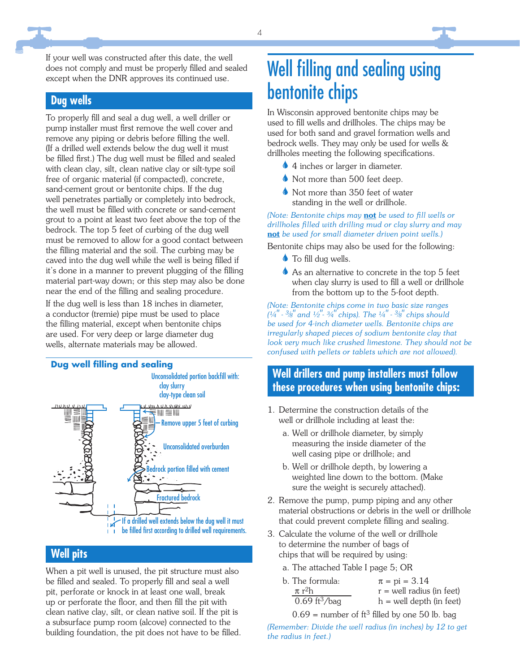#### **Dug wells**

To properly fill and seal a dug well, a well driller or pump installer must first remove the well cover and remove any piping or debris before filling the well. (If a drilled well extends below the dug well it must be filled first.) The dug well must be filled and sealed with clean clay, silt, clean native clay or silt-type soil free of organic material (if compacted), concrete, sand-cement grout or bentonite chips. If the dug well penetrates partially or completely into bedrock, the well must be filled with concrete or sand-cement grout to a point at least two feet above the top of the bedrock. The top 5 feet of curbing of the dug well must be removed to allow for a good contact between the filling material and the soil. The curbing may be caved into the dug well while the well is being filled if it's done in a manner to prevent plugging of the filling material part-way down; or this step may also be done near the end of the filling and sealing procedure.

If the dug well is less than 18 inches in diameter, a conductor (tremie) pipe must be used to place the filling material, except when bentonite chips are used. For very deep or large diameter dug wells, alternate materials may be allowed.



#### **Well pits**

When a pit well is unused, the pit structure must also be filled and sealed. To properly fill and seal a well pit, perforate or knock in at least one wall, break up or perforate the floor, and then fill the pit with clean native clay, silt, or clean native soil. If the pit is a subsurface pump room (alcove) connected to the building foundation, the pit does not have to be filled.

## Well filling and sealing using bentonite chips

In Wisconsin approved bentonite chips may be used to fill wells and drillholes. The chips may be used for both sand and gravel formation wells and bedrock wells. They may only be used for wells & drillholes meeting the following specifications.

- 4 inches or larger in diameter.
- Not more than 500 feet deep.
- Not more than 350 feet of water standing in the well or drillhole.

#### *(Note: Bentonite chips may not be used to fill wells or drillholes fi lled with drilling mud or clay slurry and may*  **not** *be used for small diameter driven point wells.)*

Bentonite chips may also be used for the following:

- $\bullet$  To fill dug wells.
- As an alternative to concrete in the top 5 feet when clay slurry is used to fill a well or drillhole from the bottom up to the 5-foot depth.

*(Note: Bentonite chips come in two basic size ranges (¼" - 3/ 8" and ½"- ¾" chips). The ¼" - 3/ 8" chips should be used for 4-inch diameter wells. Bentonite chips are irregularly shaped pieces of sodium bentonite clay that look very much like crushed limestone. They should not be confused with pellets or tablets which are not allowed).*

#### **Well drillers and pump installers must follow these procedures when using bentonite chips:**

- 1. Determine the construction details of the well or drillhole including at least the:
	- a. Well or drillhole diameter, by simply measuring the inside diameter of the well casing pipe or drillhole; and
	- b. Well or drillhole depth, by lowering a weighted line down to the bottom. (Make sure the weight is securely attached).
- 2. Remove the pump, pump piping and any other material obstructions or debris in the well or drillhole that could prevent complete filling and sealing.
- 3. Calculate the volume of the well or drillhole to determine the number of bags of chips that will be required by using:
	- a. The attached Table I page 5; OR

| b. The formula:             | $\pi$ = pi = 3.14           |
|-----------------------------|-----------------------------|
| $\pi$ r <sup>2</sup> h      | $r =$ well radius (in feet) |
| $0.69$ ft <sup>3</sup> /bag | $h =$ well depth (in feet)  |

 $0.69$  = number of ft<sup>3</sup> filled by one 50 lb. bag

*(Remember: Divide the well radius (in inches) by 12 to get the radius in feet.)*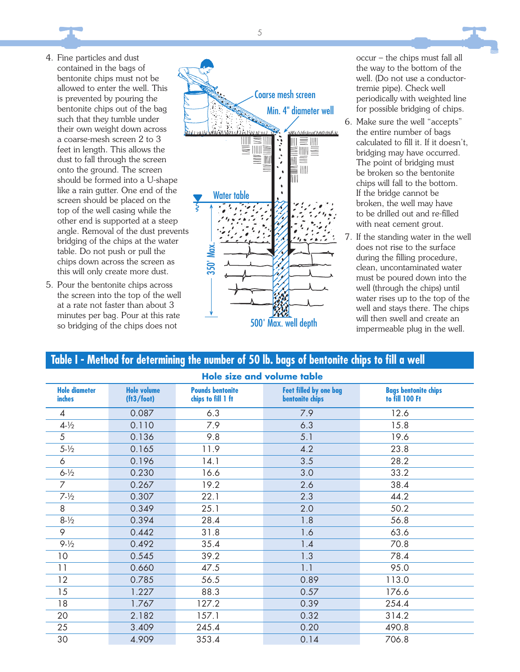

- 4. Fine particles and dust contained in the bags of bentonite chips must not be allowed to enter the well. This is prevented by pouring the bentonite chips out of the bag such that they tumble under their own weight down across a coarse-mesh screen 2 to 3 feet in length. This allows the dust to fall through the screen onto the ground. The screen should be formed into a U-shape like a rain gutter. One end of the screen should be placed on the top of the well casing while the other end is supported at a steep angle. Removal of the dust prevents bridging of the chips at the water table. Do not push or pull the chips down across the screen as this will only create more dust.
- 5. Pour the bentonite chips across the screen into the top of the well at a rate not faster than about 3 minutes per bag. Pour at this rate so bridging of the chips does not



occur – the chips must fall all the way to the bottom of the well. (Do not use a conductortremie pipe). Check well periodically with weighted line for possible bridging of chips.

- 6. Make sure the well "accepts" the entire number of bags calculated to fill it. If it doesn't, bridging may have occurred. The point of bridging must be broken so the bentonite chips will fall to the bottom. If the bridge cannot be broken, the well may have to be drilled out and re-filled with neat cement grout.
- 7. If the standing water in the well does not rise to the surface during the filling procedure, clean, uncontaminated water must be poured down into the well (through the chips) until water rises up to the top of the well and stays there. The chips will then swell and create an impermeable plug in the well.

#### Table I - Method for determining the number of 50 lb. bags of bentonite chips to fill a well

| <b>Hole size and volume table</b> |                                  |                                               |                                           |                                               |  |
|-----------------------------------|----------------------------------|-----------------------------------------------|-------------------------------------------|-----------------------------------------------|--|
| <b>Hole diameter</b><br>inches    | <b>Hole volume</b><br>(ft3/foot) | <b>Pounds bentonite</b><br>chips to fill 1 ft | Feet filled by one bag<br>bentonite chips | <b>Bags bentonite chips</b><br>to fill 100 Ft |  |
| $\overline{4}$                    | 0.087                            | 6.3                                           | 7.9                                       | 12.6                                          |  |
| $4 - \frac{1}{2}$                 | 7.9<br>6.3<br>0.110              |                                               |                                           | 15.8                                          |  |
| 5                                 | 9.8<br>0.136<br>5.1              |                                               |                                           | 19.6                                          |  |
| $5 - \frac{1}{2}$                 | 0.165                            | 11.9                                          | 4.2                                       | 23.8                                          |  |
| 6                                 | 0.196                            | 14.1                                          | 3.5                                       | 28.2                                          |  |
| $6 - \frac{1}{2}$                 | 0.230                            | 16.6                                          | 3.0                                       | 33.2                                          |  |
| 7                                 | 0.267                            | 19.2                                          | 2.6                                       | 38.4                                          |  |
| $7 - \frac{1}{2}$                 | 0.307                            | 22.1                                          | 2.3                                       | 44.2                                          |  |
| 8                                 | 0.349                            | 25.1                                          | 2.0                                       | 50.2                                          |  |
| $8 - \frac{1}{2}$                 | 0.394                            | 28.4                                          | 1.8                                       | 56.8                                          |  |
| 9                                 | 0.442                            | 31.8                                          | 1.6                                       | 63.6                                          |  |
| $9 - \frac{1}{2}$                 | 0.492                            | 35.4                                          | 1.4                                       | 70.8                                          |  |
| 10                                | 0.545                            | 39.2                                          | 1.3                                       | 78.4                                          |  |
| 11                                | 0.660                            | 47.5                                          | 1.1                                       | 95.0                                          |  |
| 12                                | 0.785                            | 56.5                                          | 0.89                                      | 113.0                                         |  |
| 15                                | 1.227                            | 88.3                                          | 0.57                                      | 176.6                                         |  |
| 18                                | 1.767                            | 127.2                                         | 0.39                                      | 254.4                                         |  |
| 20                                | 2.182                            | 157.1                                         | 0.32                                      | 314.2                                         |  |
| 25                                | 3.409                            | 245.4                                         | 0.20                                      | 490.8                                         |  |
| 30                                | 4.909                            | 353.4                                         | 0.14                                      | 706.8                                         |  |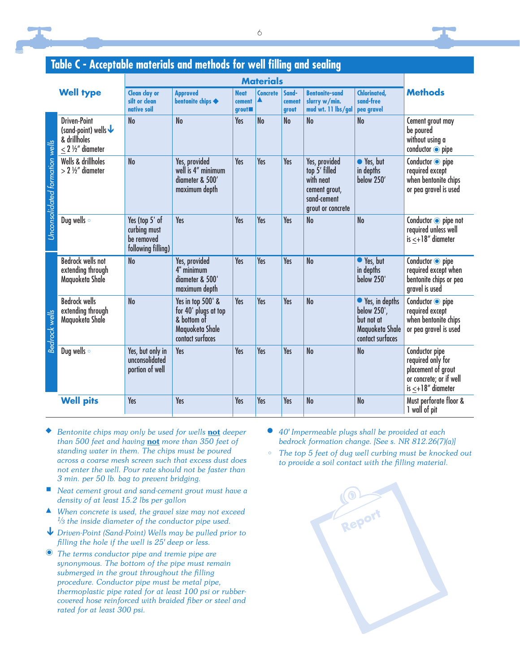

#### **Table C - Acceptable materials and methods for well filling and sealing**

| <b>Well type</b>               |                                                                                                     | <b>Materials</b>                                                   |                                                                                                 |                                               |                      |                          |                                                                                                  |                                                                                      |                                                                                                                  |
|--------------------------------|-----------------------------------------------------------------------------------------------------|--------------------------------------------------------------------|-------------------------------------------------------------------------------------------------|-----------------------------------------------|----------------------|--------------------------|--------------------------------------------------------------------------------------------------|--------------------------------------------------------------------------------------|------------------------------------------------------------------------------------------------------------------|
|                                |                                                                                                     | <b>Clean clay or</b><br>silt or clean<br>native soil               | <b>Approved</b><br>bentonite chips <                                                            | <b>Neat</b><br>cement<br>grout $\blacksquare$ | <b>Concrete</b><br>▲ | Sand-<br>cement<br>grout | <b>Bentonite-sand</b><br>slurry w/min.<br>mud wt. 11 lbs/gal                                     | <b>Chlorinated,</b><br>sand-free<br>pea gravel                                       | <b>Methods</b>                                                                                                   |
| Unconsolidated formation wells | <b>Driven-Point</b><br>(sand-point) wells $\bigtriangledown$<br>& drillholes<br>$< 2$ 1/2" diameter | No                                                                 | <b>No</b>                                                                                       | Yes                                           | <b>No</b>            | No                       | N <sub>o</sub>                                                                                   | <b>No</b>                                                                            | Cement grout may<br>be poured<br>without using a<br>conductor $\odot$ pipe                                       |
|                                | Wells & drillholes<br>$> 2$ ½" diameter                                                             | <b>No</b>                                                          | Yes, provided<br>well is 4" minimum<br>diameter & 500'<br>maximum depth                         | Yes                                           | Yes                  | Yes                      | Yes, provided<br>top 5' filled<br>with neat<br>cement grout,<br>sand-cement<br>grout or concrete | ● Yes, but<br>in depths<br>below 250'                                                | Conductor o pipe<br>required except<br>when bentonite chips<br>or pea gravel is used                             |
|                                | Dug wells o                                                                                         | Yes (top 5' of<br>curbing must<br>be removed<br>following filling) | Yes                                                                                             | Yes                                           | Yes                  | <b>Yes</b>               | N <sub>o</sub>                                                                                   | <b>No</b>                                                                            | Conductor o pipe not<br>required unless well<br>$is < +18"$ diameter                                             |
| <b>Bedrock wells</b>           | <b>Bedrock wells not</b><br>extending through<br>Maquoketa Shale                                    | <b>No</b>                                                          | Yes, provided<br>4" minimum<br>diameter & 500'<br>maximum depth                                 | <b>Yes</b>                                    | <b>Yes</b>           | <b>Yes</b>               | N <sub>o</sub>                                                                                   | ● Yes, but<br>in depths<br>below 250'                                                | Conductor $\overline{\bullet}$ pipe<br>required except when<br>bentonite chips or pea<br>gravel is used          |
|                                | <b>Bedrock wells</b><br>extending through<br>Maguoketa Shale                                        | <b>No</b>                                                          | Yes in top 500' &<br>for 40' plugs at top<br>& bottom of<br>Maguoketa Shale<br>contact surfaces | Yes                                           | Yes                  | Yes                      | <b>No</b>                                                                                        | ● Yes, in depths<br>below 250',<br>but not at<br>Maguoketa Shale<br>contact surfaces | Conductor o pipe<br>required except<br>when bentonite chips<br>or pea gravel is used                             |
|                                | Dug wells o                                                                                         | Yes, but only in<br>unconsolidated<br>portion of well              | Yes                                                                                             | Yes                                           | Yes                  | Yes                      | <b>No</b>                                                                                        | <b>No</b>                                                                            | Conductor pipe<br>required only for<br>placement of grout<br>or concrete; or if well<br>is $\leq +18''$ diameter |
|                                | <b>Well pits</b>                                                                                    | Yes                                                                | Yes                                                                                             | Yes                                           | Yes                  | Yes                      | N <sub>o</sub>                                                                                   | <b>No</b>                                                                            | Must perforate floor &<br>1 wall of pit                                                                          |

- $\bullet$  *Bentonite chips may only be used for wells* **not** *deeper than 500 feet and having* **not** *more than 350 feet of standing water in them. The chips must be poured across a coarse mesh screen such that excess dust does not enter the well. Pour rate should not be faster than 3 min. per 50 lb. bag to prevent bridging.*
- *Neat cement grout and sand-cement grout must have a density of at least 15.2 lbs per gallon*
- *When concrete is used, the gravel size may not exceed 1/ 3 the inside diameter of the conductor pipe used.*
- *Driven-Point (Sand-Point) Wells may be pulled prior to fi lling the hole if the well is 25' deep or less.*
- *The terms conductor pipe and tremie pipe are synonymous. The bottom of the pipe must remain submerged in the grout throughout the fi lling procedure. Conductor pipe must be metal pipe, thermoplastic pipe rated for at least 100 psi or rubbercovered hose reinforced with braided fiber or steel and rated for at least 300 psi.*
- *40' Impermeable plugs shall be provided at each bedrock formation change. [See s. NR 812.26(7)(a)]*
- *The top 5 feet of dug well curbing must be knocked out*  to provide a soil contact with the filling material.

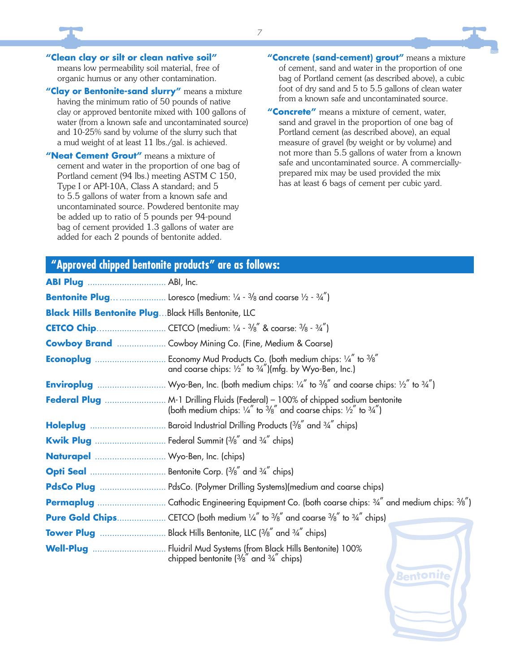**"Clean clay or silt or clean native soil"**  means low permeability soil material, free of organic humus or any other contamination.

**"Clay or Bentonite-sand slurry"** means a mixture having the minimum ratio of 50 pounds of native clay or approved bentonite mixed with 100 gallons of water (from a known safe and uncontaminated source) and 10-25% sand by volume of the slurry such that a mud weight of at least 11 lbs./gal. is achieved.

**"Neat Cement Grout"** means a mixture of cement and water in the proportion of one bag of Portland cement (94 lbs.) meeting ASTM C 150, Type I or API-10A, Class A standard; and 5 to 5.5 gallons of water from a known safe and uncontaminated source. Powdered bentonite may be added up to ratio of 5 pounds per 94-pound bag of cement provided 1.3 gallons of water are added for each 2 pounds of bentonite added.

**"Concrete (sand-cement) grout"** means a mixture of cement, sand and water in the proportion of one bag of Portland cement (as described above), a cubic foot of dry sand and 5 to 5.5 gallons of clean water from a known safe and uncontaminated source.

**"Concrete"** means a mixture of cement, water, sand and gravel in the proportion of one bag of Portland cement (as described above), an equal measure of gravel (by weight or by volume) and not more than 5.5 gallons of water from a known safe and uncontaminated source. A commerciallyprepared mix may be used provided the mix has at least 6 bags of cement per cubic yard.

Bentonii

#### **"Approved chipped bentonite products" are as follows:**

| <b>Black Hills Bentonite PlugBlack Hills Bentonite, LLC</b> |                                                                                                                                                                                                |  |  |  |
|-------------------------------------------------------------|------------------------------------------------------------------------------------------------------------------------------------------------------------------------------------------------|--|--|--|
|                                                             |                                                                                                                                                                                                |  |  |  |
|                                                             | <b>Cowboy Brand </b> Cowboy Mining Co. (Fine, Medium & Coarse)                                                                                                                                 |  |  |  |
|                                                             | and coarse chips: $\frac{1}{2}$ " to $\frac{3}{4}$ ")(mfg. by Wyo-Ben, Inc.)                                                                                                                   |  |  |  |
|                                                             | <b>Enviroplug</b> Wyo-Ben, Inc. (both medium chips: $\frac{1}{4}$ " to $\frac{3}{8}$ " and coarse chips: $\frac{1}{2}$ " to $\frac{3}{4}$ ")                                                   |  |  |  |
|                                                             | Federal Plug  M-1 Drilling Fluids (Federal) - 100% of chipped sodium bentonite<br>(both medium chips: $\frac{1}{4}$ " to $\frac{3}{8}$ " and coarse chips: $\frac{1}{2}$ " to $\frac{3}{4}$ ") |  |  |  |
|                                                             |                                                                                                                                                                                                |  |  |  |
|                                                             | <b>Kwik Plug</b> Federal Summit $(3/8)$ <sup>"</sup> and $3/4$ " chips)                                                                                                                        |  |  |  |
| Naturapel  Wyo-Ben, Inc. (chips)                            |                                                                                                                                                                                                |  |  |  |
|                                                             |                                                                                                                                                                                                |  |  |  |
|                                                             | PdsCo Plug  PdsCo. (Polymer Drilling Systems)(medium and coarse chips)                                                                                                                         |  |  |  |
|                                                             |                                                                                                                                                                                                |  |  |  |
|                                                             |                                                                                                                                                                                                |  |  |  |
|                                                             |                                                                                                                                                                                                |  |  |  |
|                                                             | Well-Plug  Fluidril Mud Systems (from Black Hills Bentonite) 100%<br>chipped bentonite $\frac{3}{8}$ and $\frac{3}{4}$ chips)                                                                  |  |  |  |